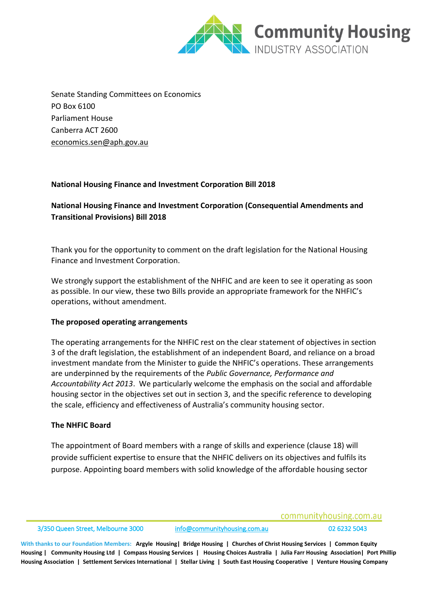

Senate Standing Committees on Economics PO Box 6100 Parliament House Canberra ACT 2600 [economics.sen@aph.gov.au](mailto:economics.sen@aph.gov.au)

#### **National Housing Finance and Investment Corporation Bill 2018**

# **National Housing Finance and Investment Corporation (Consequential Amendments and Transitional Provisions) Bill 2018**

Thank you for the opportunity to comment on the draft legislation for the National Housing Finance and Investment Corporation.

We strongly support the establishment of the NHFIC and are keen to see it operating as soon as possible. In our view, these two Bills provide an appropriate framework for the NHFIC's operations, without amendment.

#### **The proposed operating arrangements**

The operating arrangements for the NHFIC rest on the clear statement of objectives in section 3 of the draft legislation, the establishment of an independent Board, and reliance on a broad investment mandate from the Minister to guide the NHFIC's operations. These arrangements are underpinned by the requirements of the *Public Governance, Performance and Accountability Act 2013*. We particularly welcome the emphasis on the social and affordable housing sector in the objectives set out in section 3, and the specific reference to developing the scale, efficiency and effectiveness of Australia's community housing sector.

#### **The NHFIC Board**

The appointment of Board members with a range of skills and experience (clause 18) will provide sufficient expertise to ensure that the NHFIC delivers on its objectives and fulfils its purpose. Appointing board members with solid knowledge of the affordable housing sector

communityhousing.com.au

3/350 Queen Street, Melbourne 3000 [info@communityhousing.com.au](mailto:info@communityhousing.com.au) 02 6232 5043

**With thanks to our Foundation Members: Argyle Housing| Bridge Housing | Churches of Christ Housing Services | Common Equity Housing | Community Housing Ltd | Compass Housing Services | Housing Choices Australia | Julia Farr Housing Association| Port Phillip Housing Association | Settlement Services International | Stellar Living | South East Housing Cooperative | Venture Housing Company**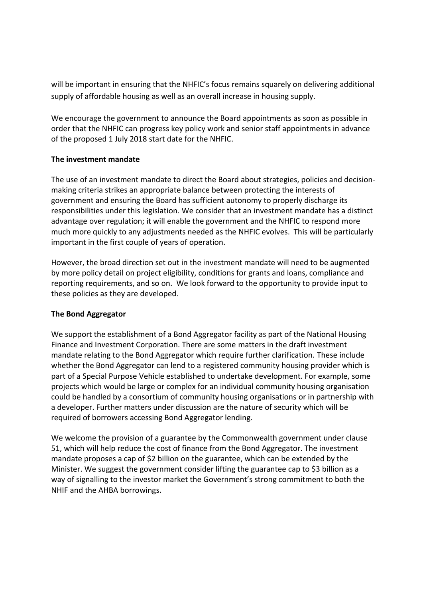will be important in ensuring that the NHFIC's focus remains squarely on delivering additional supply of affordable housing as well as an overall increase in housing supply.

We encourage the government to announce the Board appointments as soon as possible in order that the NHFIC can progress key policy work and senior staff appointments in advance of the proposed 1 July 2018 start date for the NHFIC.

# **The investment mandate**

The use of an investment mandate to direct the Board about strategies, policies and decisionmaking criteria strikes an appropriate balance between protecting the interests of government and ensuring the Board has sufficient autonomy to properly discharge its responsibilities under this legislation. We consider that an investment mandate has a distinct advantage over regulation; it will enable the government and the NHFIC to respond more much more quickly to any adjustments needed as the NHFIC evolves. This will be particularly important in the first couple of years of operation.

However, the broad direction set out in the investment mandate will need to be augmented by more policy detail on project eligibility, conditions for grants and loans, compliance and reporting requirements, and so on. We look forward to the opportunity to provide input to these policies as they are developed.

# **The Bond Aggregator**

We support the establishment of a Bond Aggregator facility as part of the National Housing Finance and Investment Corporation. There are some matters in the draft investment mandate relating to the Bond Aggregator which require further clarification. These include whether the Bond Aggregator can lend to a registered community housing provider which is part of a Special Purpose Vehicle established to undertake development. For example, some projects which would be large or complex for an individual community housing organisation could be handled by a consortium of community housing organisations or in partnership with a developer. Further matters under discussion are the nature of security which will be required of borrowers accessing Bond Aggregator lending.

We welcome the provision of a guarantee by the Commonwealth government under clause 51, which will help reduce the cost of finance from the Bond Aggregator. The investment mandate proposes a cap of \$2 billion on the guarantee, which can be extended by the Minister. We suggest the government consider lifting the guarantee cap to \$3 billion as a way of signalling to the investor market the Government's strong commitment to both the NHIF and the AHBA borrowings.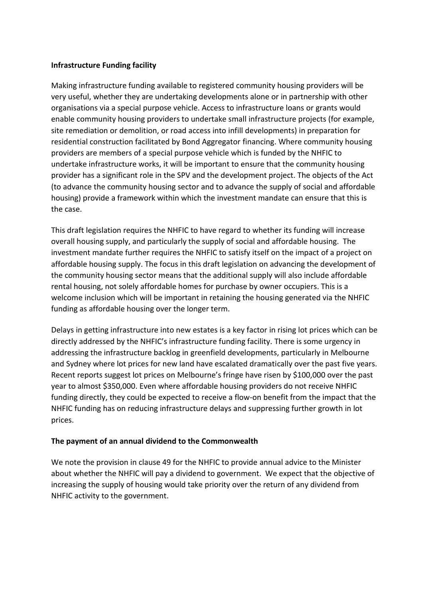# **Infrastructure Funding facility**

Making infrastructure funding available to registered community housing providers will be very useful, whether they are undertaking developments alone or in partnership with other organisations via a special purpose vehicle. Access to infrastructure loans or grants would enable community housing providers to undertake small infrastructure projects (for example, site remediation or demolition, or road access into infill developments) in preparation for residential construction facilitated by Bond Aggregator financing. Where community housing providers are members of a special purpose vehicle which is funded by the NHFIC to undertake infrastructure works, it will be important to ensure that the community housing provider has a significant role in the SPV and the development project. The objects of the Act (to advance the community housing sector and to advance the supply of social and affordable housing) provide a framework within which the investment mandate can ensure that this is the case.

This draft legislation requires the NHFIC to have regard to whether its funding will increase overall housing supply, and particularly the supply of social and affordable housing. The investment mandate further requires the NHFIC to satisfy itself on the impact of a project on affordable housing supply. The focus in this draft legislation on advancing the development of the community housing sector means that the additional supply will also include affordable rental housing, not solely affordable homes for purchase by owner occupiers. This is a welcome inclusion which will be important in retaining the housing generated via the NHFIC funding as affordable housing over the longer term.

Delays in getting infrastructure into new estates is a key factor in rising lot prices which can be directly addressed by the NHFIC's infrastructure funding facility. There is some urgency in addressing the infrastructure backlog in greenfield developments, particularly in Melbourne and Sydney where lot prices for new land have escalated dramatically over the past five years. Recent reports suggest lot prices on Melbourne's fringe have risen by \$100,000 over the past year to almost \$350,000. Even where affordable housing providers do not receive NHFIC funding directly, they could be expected to receive a flow-on benefit from the impact that the NHFIC funding has on reducing infrastructure delays and suppressing further growth in lot prices.

# **The payment of an annual dividend to the Commonwealth**

We note the provision in clause 49 for the NHFIC to provide annual advice to the Minister about whether the NHFIC will pay a dividend to government. We expect that the objective of increasing the supply of housing would take priority over the return of any dividend from NHFIC activity to the government.